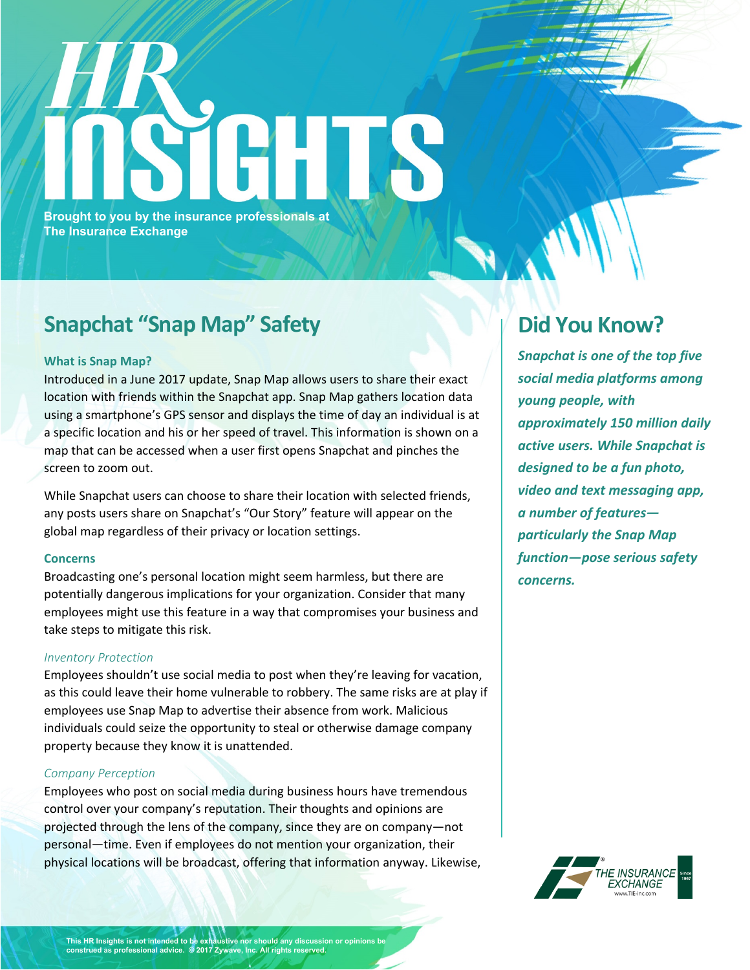# **Brought to you by the insurance professionals at The Insurance Exchange**

## **Snapchat "Snap Map" Safety**

#### **What is Snap Map?**

Introduced in a June 2017 update, Snap Map allows users to share their exact location with friends within the Snapchat app. Snap Map gathers location data using a smartphone's GPS sensor and displays the time of day an individual is at a specific location and his or her speed of travel. This information is shown on a map that can be accessed when a user first opens Snapchat and pinches the screen to zoom out.

While Snapchat users can choose to share their location with selected friends, any posts users share on Snapchat's "Our Story" feature will appear on the global map regardless of their privacy or location settings.

#### **Concerns**

Broadcasting one's personal location might seem harmless, but there are potentially dangerous implications for your organization. Consider that many employees might use this feature in a way that compromises your business and take steps to mitigate this risk.

#### *Inventory Protection*

Employees shouldn't use social media to post when they're leaving for vacation, as this could leave their home vulnerable to robbery. The same risks are at play if employees use Snap Map to advertise their absence from work. Malicious individuals could seize the opportunity to steal or otherwise damage company property because they know it is unattended.

#### *Company Perception*

Employees who post on social media during business hours have tremendous control over your company's reputation. Their thoughts and opinions are projected through the lens of the company, since they are on company—not personal—time. Even if employees do not mention your organization, their physical locations will be broadcast, offering that information anyway. Likewise,

### **Did You Know?**

*Snapchat is one of the top five social media platforms among young people, with approximately 150 million daily active users. While Snapchat is designed to be a fun photo, video and text messaging app, a number of features particularly the Snap Map function—pose serious safety concerns.*